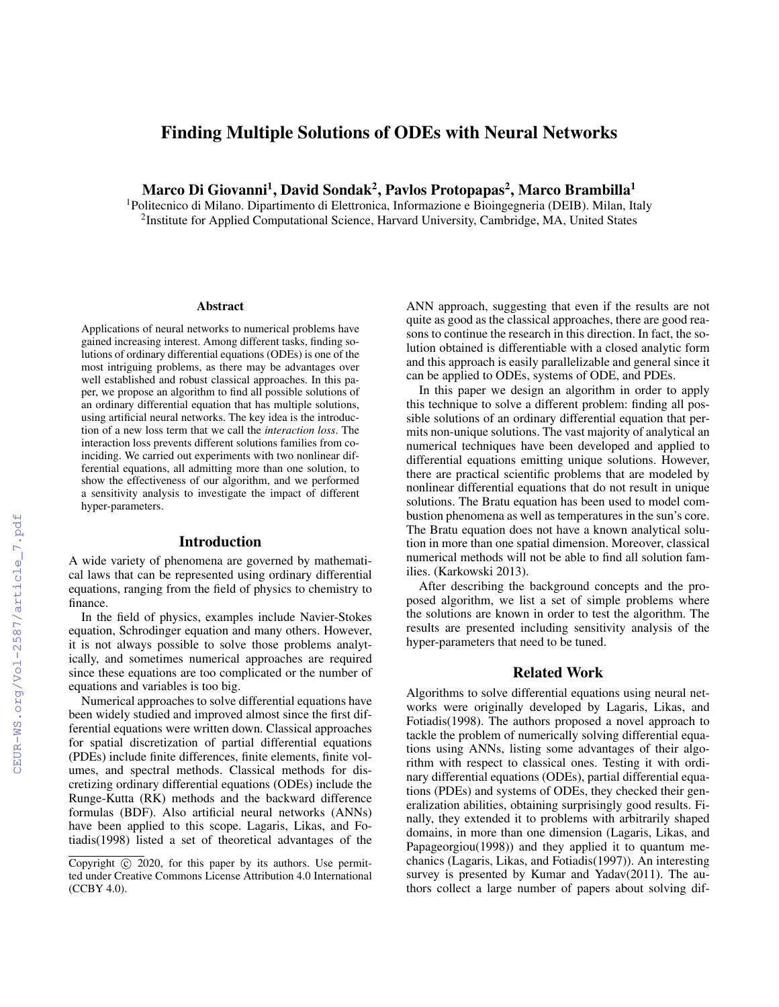# Finding Multiple Solutions of ODEs with Neural Networks

Marco Di Giovanni<sup>1</sup>, David Sondak<sup>2</sup>, Pavlos Protopapas<sup>2</sup>, Marco Brambilla<sup>1</sup>

<sup>1</sup>Politecnico di Milano. Dipartimento di Elettronica, Informazione e Bioingegneria (DEIB). Milan, Italy <sup>2</sup>Institute for Applied Computational Science, Harvard University, Cambridge, MA, United States

#### Abstract

Applications of neural networks to numerical problems have gained increasing interest. Among different tasks, finding solutions of ordinary differential equations (ODEs) is one of the most intriguing problems, as there may be advantages over well established and robust classical approaches. In this paper, we propose an algorithm to find all possible solutions of an ordinary differential equation that has multiple solutions, using artificial neural networks. The key idea is the introduction of a new loss term that we call the *interaction loss*. The interaction loss prevents different solutions families from coinciding. We carried out experiments with two nonlinear differential equations, all admitting more than one solution, to show the effectiveness of our algorithm, and we performed a sensitivity analysis to investigate the impact of different hyper-parameters.

### Introduction

A wide variety of phenomena are governed by mathematical laws that can be represented using ordinary differential equations, ranging from the field of physics to chemistry to finance.

In the field of physics, examples include Navier-Stokes equation, Schrodinger equation and many others. However, it is not always possible to solve those problems analytically, and sometimes numerical approaches are required since these equations are too complicated or the number of equations and variables is too big.

Numerical approaches to solve differential equations have been widely studied and improved almost since the first differential equations were written down. Classical approaches for spatial discretization of partial differential equations (PDEs) include finite differences, finite elements, finite volumes, and spectral methods. Classical methods for discretizing ordinary differential equations (ODEs) include the Runge-Kutta (RK) methods and the backward difference formulas (BDF). Also artificial neural networks (ANNs) have been applied to this scope. Lagaris, Likas, and Fotiadis(1998) listed a set of theoretical advantages of the

ANN approach, suggesting that even if the results are not quite as good as the classical approaches, there are good reasons to continue the research in this direction. In fact, the solution obtained is differentiable with a closed analytic form and this approach is easily parallelizable and general since it can be applied to ODEs, systems of ODE, and PDEs.

In this paper we design an algorithm in order to apply this technique to solve a different problem: finding all possible solutions of an ordinary differential equation that permits non-unique solutions. The vast majority of analytical an numerical techniques have been developed and applied to differential equations emitting unique solutions. However, there are practical scientific problems that are modeled by nonlinear differential equations that do not result in unique solutions. The Bratu equation has been used to model combustion phenomena as well as temperatures in the sun's core. The Bratu equation does not have a known analytical solution in more than one spatial dimension. Moreover, classical numerical methods will not be able to find all solution families. (Karkowski 2013).

After describing the background concepts and the proposed algorithm, we list a set of simple problems where the solutions are known in order to test the algorithm. The results are presented including sensitivity analysis of the hyper-parameters that need to be tuned.

### Related Work

Algorithms to solve differential equations using neural networks were originally developed by Lagaris, Likas, and Fotiadis(1998). The authors proposed a novel approach to tackle the problem of numerically solving differential equations using ANNs, listing some advantages of their algorithm with respect to classical ones. Testing it with ordinary differential equations (ODEs), partial differential equations (PDEs) and systems of ODEs, they checked their generalization abilities, obtaining surprisingly good results. Finally, they extended it to problems with arbitrarily shaped domains, in more than one dimension (Lagaris, Likas, and Papageorgiou(1998)) and they applied it to quantum mechanics (Lagaris, Likas, and Fotiadis(1997)). An interesting survey is presented by Kumar and Yadav(2011). The authors collect a large number of papers about solving dif-

Copyright  $\odot$  2020, for this paper by its authors. Use permitted under Creative Commons License Attribution 4.0 International (CCBY 4.0).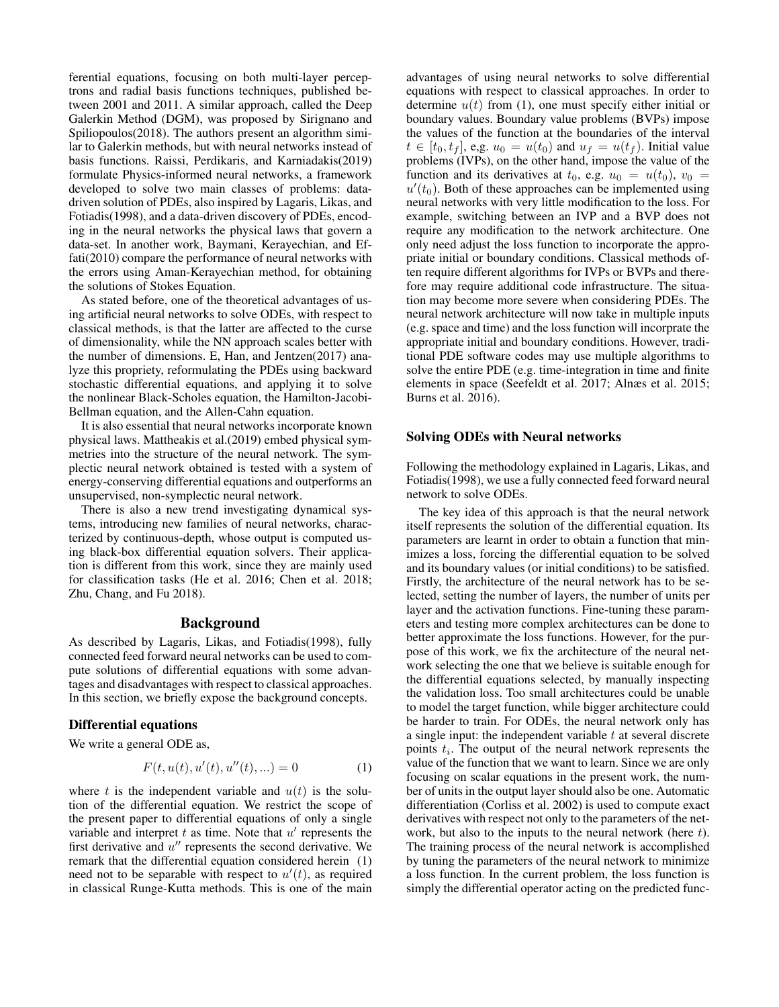ferential equations, focusing on both multi-layer perceptrons and radial basis functions techniques, published between 2001 and 2011. A similar approach, called the Deep Galerkin Method (DGM), was proposed by Sirignano and Spiliopoulos(2018). The authors present an algorithm similar to Galerkin methods, but with neural networks instead of basis functions. Raissi, Perdikaris, and Karniadakis(2019) formulate Physics-informed neural networks, a framework developed to solve two main classes of problems: datadriven solution of PDEs, also inspired by Lagaris, Likas, and Fotiadis(1998), and a data-driven discovery of PDEs, encoding in the neural networks the physical laws that govern a data-set. In another work, Baymani, Kerayechian, and Effati(2010) compare the performance of neural networks with the errors using Aman-Kerayechian method, for obtaining the solutions of Stokes Equation.

As stated before, one of the theoretical advantages of using artificial neural networks to solve ODEs, with respect to classical methods, is that the latter are affected to the curse of dimensionality, while the NN approach scales better with the number of dimensions. E, Han, and Jentzen(2017) analyze this propriety, reformulating the PDEs using backward stochastic differential equations, and applying it to solve the nonlinear Black-Scholes equation, the Hamilton-Jacobi-Bellman equation, and the Allen-Cahn equation.

It is also essential that neural networks incorporate known physical laws. Mattheakis et al.(2019) embed physical symmetries into the structure of the neural network. The symplectic neural network obtained is tested with a system of energy-conserving differential equations and outperforms an unsupervised, non-symplectic neural network.

There is also a new trend investigating dynamical systems, introducing new families of neural networks, characterized by continuous-depth, whose output is computed using black-box differential equation solvers. Their application is different from this work, since they are mainly used for classification tasks (He et al. 2016; Chen et al. 2018; Zhu, Chang, and Fu 2018).

## Background

As described by Lagaris, Likas, and Fotiadis(1998), fully connected feed forward neural networks can be used to compute solutions of differential equations with some advantages and disadvantages with respect to classical approaches. In this section, we briefly expose the background concepts.

### Differential equations

We write a general ODE as,

$$
F(t, u(t), u'(t), u''(t), \ldots) = 0 \tag{1}
$$

where t is the independent variable and  $u(t)$  is the solution of the differential equation. We restrict the scope of the present paper to differential equations of only a single variable and interpret  $t$  as time. Note that  $u'$  represents the first derivative and  $u''$  represents the second derivative. We remark that the differential equation considered herein (1) need not to be separable with respect to  $u'(t)$ , as required in classical Runge-Kutta methods. This is one of the main advantages of using neural networks to solve differential equations with respect to classical approaches. In order to determine  $u(t)$  from (1), one must specify either initial or boundary values. Boundary value problems (BVPs) impose the values of the function at the boundaries of the interval  $t \in [t_0, t_f]$ , e,g.  $u_0 = u(t_0)$  and  $u_f = u(t_f)$ . Initial value problems (IVPs), on the other hand, impose the value of the function and its derivatives at  $t_0$ , e.g.  $u_0 = u(t_0)$ ,  $v_0 =$  $u'(t_0)$ . Both of these approaches can be implemented using neural networks with very little modification to the loss. For example, switching between an IVP and a BVP does not require any modification to the network architecture. One only need adjust the loss function to incorporate the appropriate initial or boundary conditions. Classical methods often require different algorithms for IVPs or BVPs and therefore may require additional code infrastructure. The situation may become more severe when considering PDEs. The neural network architecture will now take in multiple inputs (e.g. space and time) and the loss function will incorprate the appropriate initial and boundary conditions. However, traditional PDE software codes may use multiple algorithms to solve the entire PDE (e.g. time-integration in time and finite elements in space (Seefeldt et al. 2017; Alnæs et al. 2015; Burns et al. 2016).

## Solving ODEs with Neural networks

Following the methodology explained in Lagaris, Likas, and Fotiadis(1998), we use a fully connected feed forward neural network to solve ODEs.

The key idea of this approach is that the neural network itself represents the solution of the differential equation. Its parameters are learnt in order to obtain a function that minimizes a loss, forcing the differential equation to be solved and its boundary values (or initial conditions) to be satisfied. Firstly, the architecture of the neural network has to be selected, setting the number of layers, the number of units per layer and the activation functions. Fine-tuning these parameters and testing more complex architectures can be done to better approximate the loss functions. However, for the purpose of this work, we fix the architecture of the neural network selecting the one that we believe is suitable enough for the differential equations selected, by manually inspecting the validation loss. Too small architectures could be unable to model the target function, while bigger architecture could be harder to train. For ODEs, the neural network only has a single input: the independent variable  $t$  at several discrete points  $t_i$ . The output of the neural network represents the value of the function that we want to learn. Since we are only focusing on scalar equations in the present work, the number of units in the output layer should also be one. Automatic differentiation (Corliss et al. 2002) is used to compute exact derivatives with respect not only to the parameters of the network, but also to the inputs to the neural network (here  $t$ ). The training process of the neural network is accomplished by tuning the parameters of the neural network to minimize a loss function. In the current problem, the loss function is simply the differential operator acting on the predicted func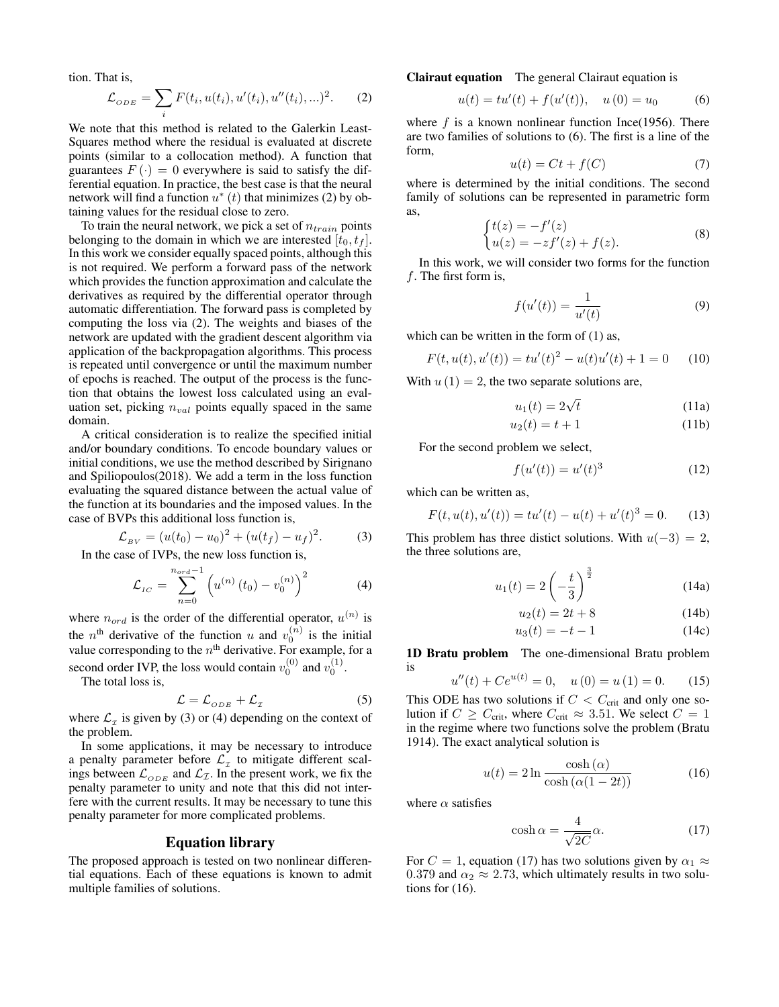tion. That is,

$$
\mathcal{L}_{ODE} = \sum_{i} F(t_i, u(t_i), u'(t_i), u''(t_i), \ldots)^2.
$$
 (2)

We note that this method is related to the Galerkin Least-Squares method where the residual is evaluated at discrete points (similar to a collocation method). A function that guarantees  $F(\cdot) = 0$  everywhere is said to satisfy the differential equation. In practice, the best case is that the neural network will find a function  $u^*(t)$  that minimizes (2) by obtaining values for the residual close to zero.

To train the neural network, we pick a set of  $n_{train}$  points belonging to the domain in which we are interested  $[t_0, t_f]$ . In this work we consider equally spaced points, although this is not required. We perform a forward pass of the network which provides the function approximation and calculate the derivatives as required by the differential operator through automatic differentiation. The forward pass is completed by computing the loss via (2). The weights and biases of the network are updated with the gradient descent algorithm via application of the backpropagation algorithms. This process is repeated until convergence or until the maximum number of epochs is reached. The output of the process is the function that obtains the lowest loss calculated using an evaluation set, picking  $n_{val}$  points equally spaced in the same domain.

A critical consideration is to realize the specified initial and/or boundary conditions. To encode boundary values or initial conditions, we use the method described by Sirignano and Spiliopoulos(2018). We add a term in the loss function evaluating the squared distance between the actual value of the function at its boundaries and the imposed values. In the case of BVPs this additional loss function is,

$$
\mathcal{L}_{BV} = (u(t_0) - u_0)^2 + (u(t_f) - u_f)^2. \tag{3}
$$

In the case of IVPs, the new loss function is,

$$
\mathcal{L}_{IC} = \sum_{n=0}^{n_{ord}-1} \left( u^{(n)}(t_0) - v_0^{(n)} \right)^2 \tag{4}
$$

where  $n_{ord}$  is the order of the differential operator,  $u^{(n)}$  is the  $n^{\text{th}}$  derivative of the function u and  $v_0^{(n)}$  is the initial value corresponding to the  $n<sup>th</sup>$  derivative. For example, for a second order IVP, the loss would contain  $v_0^{(0)}$  and  $v_0^{(1)}$ .

The total loss is,

$$
\mathcal{L} = \mathcal{L}_{ODE} + \mathcal{L}_{\mathcal{I}} \tag{5}
$$

where  $\mathcal{L}_\tau$  is given by (3) or (4) depending on the context of the problem.

In some applications, it may be necessary to introduce a penalty parameter before  $\mathcal{L}_{\tau}$  to mitigate different scalings between  $\mathcal{L}_{ODE}$  and  $\mathcal{L}_{\mathcal{I}}$ . In the present work, we fix the penalty parameter to unity and note that this did not interfere with the current results. It may be necessary to tune this penalty parameter for more complicated problems.

## Equation library

The proposed approach is tested on two nonlinear differential equations. Each of these equations is known to admit multiple families of solutions.

Clairaut equation The general Clairaut equation is

$$
u(t) = tu'(t) + f(u'(t)), \quad u(0) = u_0 \tag{6}
$$

where  $f$  is a known nonlinear function Ince(1956). There are two families of solutions to (6). The first is a line of the form,

$$
u(t) = Ct + f(C)
$$
 (7)

where is determined by the initial conditions. The second family of solutions can be represented in parametric form as,

$$
\begin{cases} t(z) = -f'(z) \\ u(z) = -zf'(z) + f(z). \end{cases}
$$
 (8)

In this work, we will consider two forms for the function f. The first form is,

$$
f(u'(t)) = \frac{1}{u'(t)}\tag{9}
$$

which can be written in the form of  $(1)$  as,

$$
F(t, u(t), u'(t)) = tu'(t)^{2} - u(t)u'(t) + 1 = 0
$$
 (10)

With  $u(1) = 2$ , the two separate solutions are,

$$
u_1(t) = 2\sqrt{t} \tag{11a}
$$

$$
u_2(t) = t + 1 \tag{11b}
$$

For the second problem we select,

$$
f(u'(t)) = u'(t)^3
$$
 (12)

which can be written as,

$$
F(t, u(t), u'(t)) = tu'(t) - u(t) + u'(t)^3 = 0.
$$
 (13)

This problem has three distict solutions. With  $u(-3) = 2$ , the three solutions are,

$$
u_1(t) = 2\left(-\frac{t}{3}\right)^{\frac{3}{2}}\tag{14a}
$$

$$
u_2(t) = 2t + 8\tag{14b}
$$

$$
u_3(t) = -t - 1 \tag{14c}
$$

1D Bratu problem The one-dimensional Bratu problem is

$$
u''(t) + Ce^{u(t)} = 0, \quad u(0) = u(1) = 0. \tag{15}
$$

This ODE has two solutions if  $C < C_{\text{crit}}$  and only one solution if  $C \geq C_{\text{crit}}$ , where  $C_{\text{crit}} \approx 3.51$ . We select  $C = 1$ in the regime where two functions solve the problem (Bratu 1914). The exact analytical solution is

$$
u(t) = 2\ln\frac{\cosh\left(\alpha\right)}{\cosh\left(\alpha(1-2t)\right)}\tag{16}
$$

where  $\alpha$  satisfies

$$
\cosh \alpha = \frac{4}{\sqrt{2C}} \alpha. \tag{17}
$$

For  $C = 1$ , equation (17) has two solutions given by  $\alpha_1 \approx$ 0.379 and  $\alpha_2 \approx 2.73$ , which ultimately results in two solutions for  $(16)$ .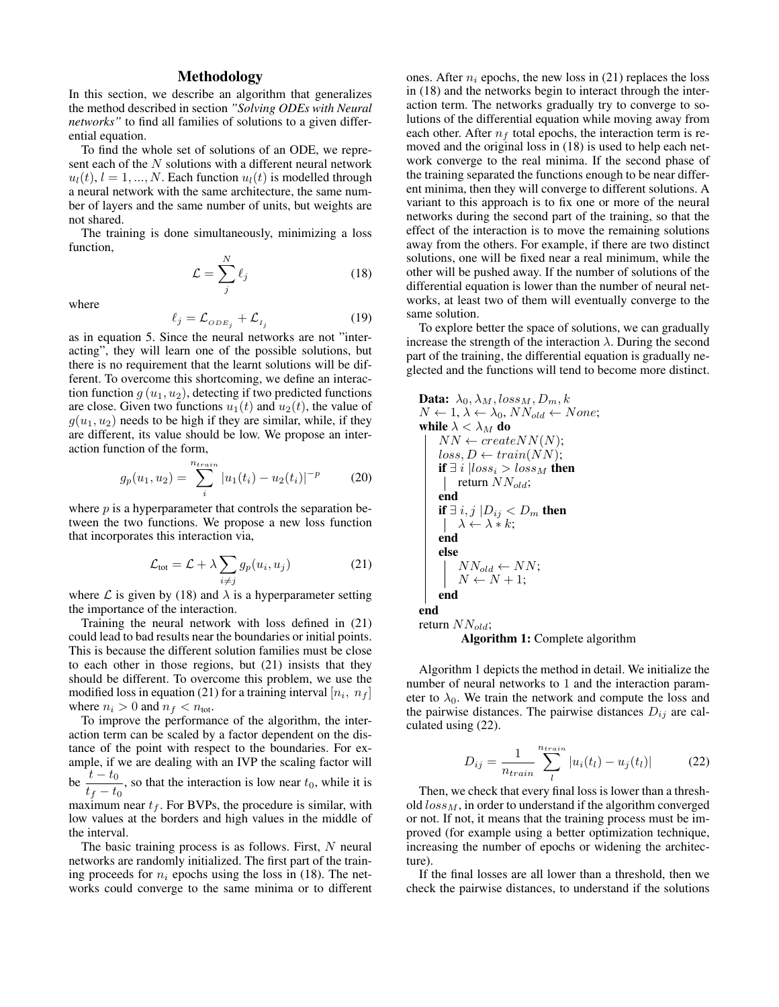## Methodology

In this section, we describe an algorithm that generalizes the method described in section *"Solving ODEs with Neural networks"* to find all families of solutions to a given differential equation.

To find the whole set of solutions of an ODE, we represent each of the N solutions with a different neural network  $u_l(t)$ ,  $l = 1, ..., N$ . Each function  $u_l(t)$  is modelled through a neural network with the same architecture, the same number of layers and the same number of units, but weights are not shared.

The training is done simultaneously, minimizing a loss function,

$$
\mathcal{L} = \sum_{j}^{N} \ell_j \tag{18}
$$

where

$$
\ell_j = \mathcal{L}_{ODE_j} + \mathcal{L}_{I_j} \tag{19}
$$

as in equation 5. Since the neural networks are not "interacting", they will learn one of the possible solutions, but there is no requirement that the learnt solutions will be different. To overcome this shortcoming, we define an interaction function  $g(u_1, u_2)$ , detecting if two predicted functions are close. Given two functions  $u_1(t)$  and  $u_2(t)$ , the value of  $g(u_1, u_2)$  needs to be high if they are similar, while, if they are different, its value should be low. We propose an interaction function of the form,

$$
g_p(u_1, u_2) = \sum_{i}^{n_{train}} |u_1(t_i) - u_2(t_i)|^{-p}
$$
 (20)

where  $p$  is a hyperparameter that controls the separation between the two functions. We propose a new loss function that incorporates this interaction via,

$$
\mathcal{L}_{\text{tot}} = \mathcal{L} + \lambda \sum_{i \neq j} g_p(u_i, u_j) \tag{21}
$$

where  $\mathcal L$  is given by (18) and  $\lambda$  is a hyperparameter setting the importance of the interaction.

Training the neural network with loss defined in (21) could lead to bad results near the boundaries or initial points. This is because the different solution families must be close to each other in those regions, but (21) insists that they should be different. To overcome this problem, we use the modified loss in equation (21) for a training interval  $[n_i, n_f]$ where  $n_i > 0$  and  $n_f < n_{\text{tot}}$ .

To improve the performance of the algorithm, the interaction term can be scaled by a factor dependent on the distance of the point with respect to the boundaries. For example, if we are dealing with an IVP the scaling factor will be  $\frac{t - t_0}{t_f - t_0}$ , so that the interaction is low near  $t_0$ , while it is maximum near  $t_f$ . For BVPs, the procedure is similar, with low values at the borders and high values in the middle of the interval.

The basic training process is as follows. First,  $N$  neural networks are randomly initialized. The first part of the training proceeds for  $n_i$  epochs using the loss in (18). The networks could converge to the same minima or to different ones. After  $n_i$  epochs, the new loss in (21) replaces the loss in (18) and the networks begin to interact through the interaction term. The networks gradually try to converge to solutions of the differential equation while moving away from each other. After  $n_f$  total epochs, the interaction term is removed and the original loss in (18) is used to help each network converge to the real minima. If the second phase of the training separated the functions enough to be near different minima, then they will converge to different solutions. A variant to this approach is to fix one or more of the neural networks during the second part of the training, so that the effect of the interaction is to move the remaining solutions away from the others. For example, if there are two distinct solutions, one will be fixed near a real minimum, while the other will be pushed away. If the number of solutions of the differential equation is lower than the number of neural networks, at least two of them will eventually converge to the same solution.

To explore better the space of solutions, we can gradually increase the strength of the interaction  $\lambda$ . During the second part of the training, the differential equation is gradually neglected and the functions will tend to become more distinct.

**Data:** 
$$
\lambda_0, \lambda_M, loss_M, D_m, k
$$
  
\n $N \leftarrow 1, \lambda \leftarrow \lambda_0, NN_{old} \leftarrow None;$   
\nwhile  $\lambda < \lambda_M$  do  
\n $NN \leftarrow createNN(N);$   
\n $loss, D \leftarrow train(NN);$   
\nif  $\exists i \mid loss_i > loss_M$  then  
\n return  $NN_{old};$   
\nend  
\nif  $\exists i, j \mid D_{ij} < D_m$  then  
\n $|\lambda \leftarrow \lambda * k;$   
\nend  
\nelse  
\n $|NN_{old} \leftarrow NN;$   
\n $N \leftarrow N + 1;$   
\nend  
\nend  
\nreturn  $NN_{old};$ 

Algorithm 1: Complete algorithm

Algorithm 1 depicts the method in detail. We initialize the number of neural networks to 1 and the interaction parameter to  $\lambda_0$ . We train the network and compute the loss and the pairwise distances. The pairwise distances  $D_{ij}$  are calculated using (22).

$$
D_{ij} = \frac{1}{n_{train}} \sum_{l}^{n_{train}} |u_i(t_l) - u_j(t_l)|
$$
 (22)

Then, we check that every final loss is lower than a threshold  $loss_M$ , in order to understand if the algorithm converged or not. If not, it means that the training process must be improved (for example using a better optimization technique, increasing the number of epochs or widening the architecture).

If the final losses are all lower than a threshold, then we check the pairwise distances, to understand if the solutions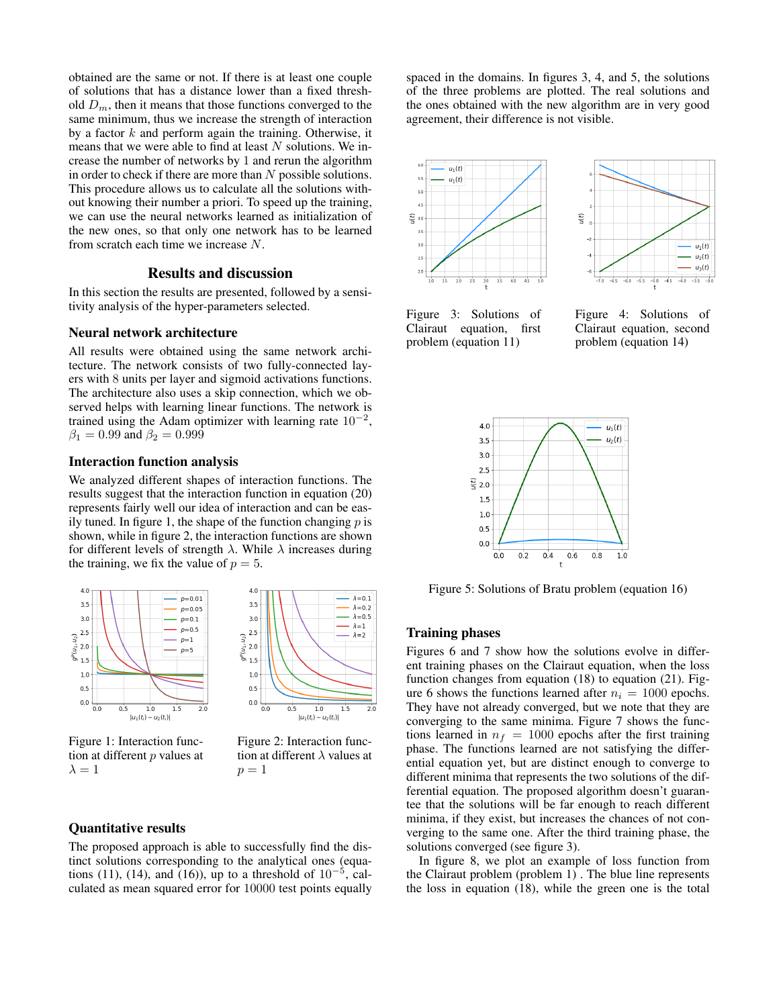obtained are the same or not. If there is at least one couple of solutions that has a distance lower than a fixed threshold  $D_m$ , then it means that those functions converged to the same minimum, thus we increase the strength of interaction by a factor  $k$  and perform again the training. Otherwise, it means that we were able to find at least  $N$  solutions. We increase the number of networks by 1 and rerun the algorithm in order to check if there are more than  $N$  possible solutions. This procedure allows us to calculate all the solutions without knowing their number a priori. To speed up the training, we can use the neural networks learned as initialization of the new ones, so that only one network has to be learned from scratch each time we increase N.

# Results and discussion

In this section the results are presented, followed by a sensitivity analysis of the hyper-parameters selected.

### Neural network architecture

All results were obtained using the same network architecture. The network consists of two fully-connected layers with 8 units per layer and sigmoid activations functions. The architecture also uses a skip connection, which we observed helps with learning linear functions. The network is trained using the Adam optimizer with learning rate  $10^{-2}$ ,  $\beta_1 = 0.99$  and  $\beta_2 = 0.999$ 

### Interaction function analysis

We analyzed different shapes of interaction functions. The results suggest that the interaction function in equation (20) represents fairly well our idea of interaction and can be easily tuned. In figure 1, the shape of the function changing  $p$  is shown, while in figure 2, the interaction functions are shown for different levels of strength  $\lambda$ . While  $\lambda$  increases during the training, we fix the value of  $p = 5$ .



Figure 1: Interaction function at different  $p$  values at  $\lambda = 1$ 

Figure 2: Interaction function at different  $\lambda$  values at  $p = 1$ 

### Quantitative results

The proposed approach is able to successfully find the distinct solutions corresponding to the analytical ones (equations (11), (14), and (16)), up to a threshold of  $10^{-5}$ , calculated as mean squared error for 10000 test points equally spaced in the domains. In figures 3, 4, and 5, the solutions of the three problems are plotted. The real solutions and the ones obtained with the new algorithm are in very good agreement, their difference is not visible.



Figure 3: Solutions of Clairaut equation, first problem (equation 11)

Figure 4: Solutions of Clairaut equation, second problem (equation 14)



Figure 5: Solutions of Bratu problem (equation 16)

## Training phases

Figures 6 and 7 show how the solutions evolve in different training phases on the Clairaut equation, when the loss function changes from equation (18) to equation (21). Figure 6 shows the functions learned after  $n_i = 1000$  epochs. They have not already converged, but we note that they are converging to the same minima. Figure 7 shows the functions learned in  $n_f = 1000$  epochs after the first training phase. The functions learned are not satisfying the differential equation yet, but are distinct enough to converge to different minima that represents the two solutions of the differential equation. The proposed algorithm doesn't guarantee that the solutions will be far enough to reach different minima, if they exist, but increases the chances of not converging to the same one. After the third training phase, the solutions converged (see figure 3).

In figure 8, we plot an example of loss function from the Clairaut problem (problem 1) . The blue line represents the loss in equation (18), while the green one is the total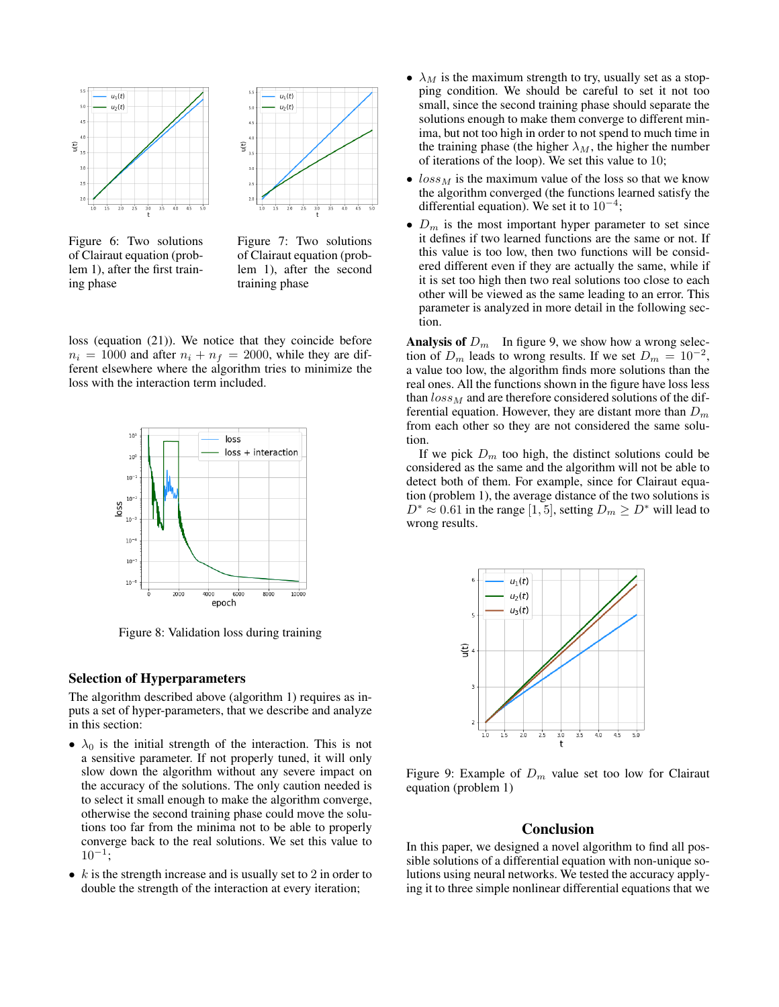

Figure 6: Two solutions of Clairaut equation (problem 1), after the first training phase



Figure 7: Two solutions of Clairaut equation (problem 1), after the second training phase

loss (equation (21)). We notice that they coincide before  $n_i = 1000$  and after  $n_i + n_f = 2000$ , while they are different elsewhere where the algorithm tries to minimize the loss with the interaction term included.



Figure 8: Validation loss during training

## Selection of Hyperparameters

The algorithm described above (algorithm 1) requires as inputs a set of hyper-parameters, that we describe and analyze in this section:

- $\lambda_0$  is the initial strength of the interaction. This is not a sensitive parameter. If not properly tuned, it will only slow down the algorithm without any severe impact on the accuracy of the solutions. The only caution needed is to select it small enough to make the algorithm converge, otherwise the second training phase could move the solutions too far from the minima not to be able to properly converge back to the real solutions. We set this value to  $10^{-1}$ ;
- $k$  is the strength increase and is usually set to 2 in order to double the strength of the interaction at every iteration;
- $\lambda_M$  is the maximum strength to try, usually set as a stopping condition. We should be careful to set it not too small, since the second training phase should separate the solutions enough to make them converge to different minima, but not too high in order to not spend to much time in the training phase (the higher  $\lambda_M$ , the higher the number of iterations of the loop). We set this value to 10;
- $loss_M$  is the maximum value of the loss so that we know the algorithm converged (the functions learned satisfy the differential equation). We set it to  $10^{-4}$ ;
- $D_m$  is the most important hyper parameter to set since it defines if two learned functions are the same or not. If this value is too low, then two functions will be considered different even if they are actually the same, while if it is set too high then two real solutions too close to each other will be viewed as the same leading to an error. This parameter is analyzed in more detail in the following section.

**Analysis of**  $D_m$  In figure 9, we show how a wrong selection of  $D_m$  leads to wrong results. If we set  $D_m = 10^{-2}$ , a value too low, the algorithm finds more solutions than the real ones. All the functions shown in the figure have loss less than  $loss_M$  and are therefore considered solutions of the differential equation. However, they are distant more than  $D_m$ from each other so they are not considered the same solution.

If we pick  $D_m$  too high, the distinct solutions could be considered as the same and the algorithm will not be able to detect both of them. For example, since for Clairaut equation (problem 1), the average distance of the two solutions is  $D^* \approx 0.61$  in the range [1, 5], setting  $D_m \ge D^*$  will lead to wrong results.



Figure 9: Example of  $D_m$  value set too low for Clairaut equation (problem 1)

#### Conclusion

In this paper, we designed a novel algorithm to find all possible solutions of a differential equation with non-unique solutions using neural networks. We tested the accuracy applying it to three simple nonlinear differential equations that we